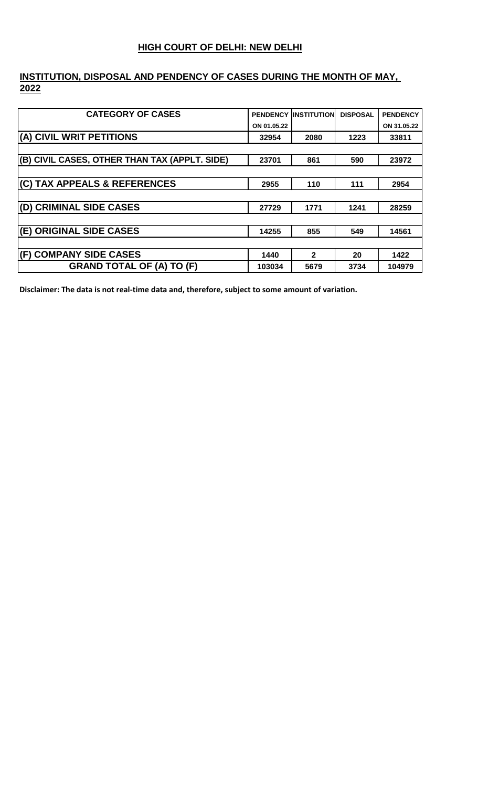#### **HIGH COURT OF DELHI: NEW DELHI**

# **INSTITUTION, DISPOSAL AND PENDENCY OF CASES DURING THE MONTH OF MAY, 2022**

| <b>CATEGORY OF CASES</b>                      |             | <b>PENDENCY INSTITUTION</b> | <b>DISPOSAL</b> | <b>PENDENCY</b> |
|-----------------------------------------------|-------------|-----------------------------|-----------------|-----------------|
|                                               | ON 01.05.22 |                             |                 | ON 31.05.22     |
| (A) CIVIL WRIT PETITIONS                      | 32954       | 2080                        | 1223            | 33811           |
|                                               |             |                             |                 |                 |
| (B) CIVIL CASES, OTHER THAN TAX (APPLT. SIDE) | 23701       | 861                         | 590             | 23972           |
|                                               |             |                             |                 |                 |
| (C) TAX APPEALS & REFERENCES                  | 2955        | 110                         | 111             | 2954            |
|                                               |             |                             |                 |                 |
| (D) CRIMINAL SIDE CASES                       | 27729       | 1771                        | 1241            | 28259           |
|                                               |             |                             |                 |                 |
| (E) ORIGINAL SIDE CASES                       | 14255       | 855                         | 549             | 14561           |
|                                               |             |                             |                 |                 |
| (F) COMPANY SIDE CASES                        | 1440        | $\overline{2}$              | 20              | 1422            |
| <b>GRAND TOTAL OF (A) TO (F)</b>              | 103034      | 5679                        | 3734            | 104979          |

**Disclaimer: The data is not real-time data and, therefore, subject to some amount of variation.**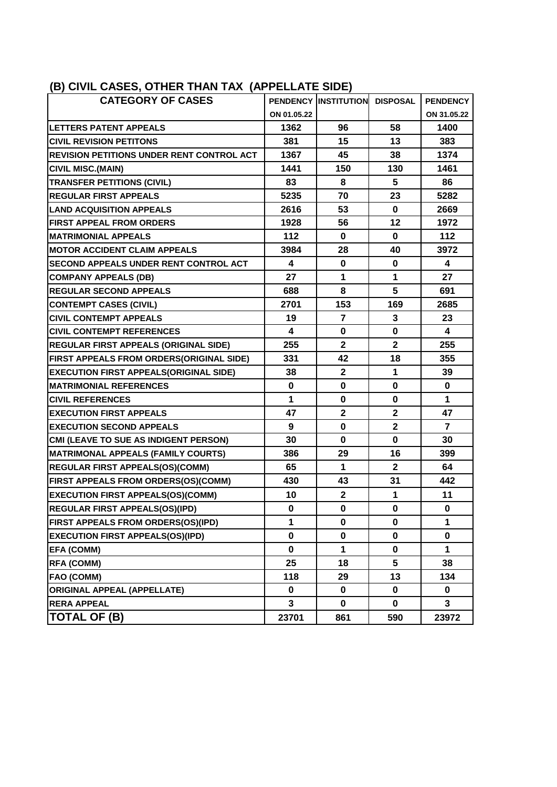<span id="page-1-0"></span>

| (B) CIVIL CASES, OTHER THAN TAX (APPELLATE SIDE) |             |                      |                 |                 |
|--------------------------------------------------|-------------|----------------------|-----------------|-----------------|
| <b>CATEGORY OF CASES</b>                         |             | PENDENCY INSTITUTION | <b>DISPOSAL</b> | <b>PENDENCY</b> |
|                                                  | ON 01.05.22 |                      |                 | ON 31.05.22     |
| <b>LETTERS PATENT APPEALS</b>                    | 1362        | 96                   | 58              | 1400            |
| <b>CIVIL REVISION PETITONS</b>                   | 381         | 15                   | 13              | 383             |
| <b>REVISION PETITIONS UNDER RENT CONTROL ACT</b> | 1367        | 45                   | 38              | 1374            |
| <b>CIVIL MISC.(MAIN)</b>                         | 1441        | 150                  | 130             | 1461            |
| <b>TRANSFER PETITIONS (CIVIL)</b>                | 83          | 8                    | 5               | 86              |
| <b>REGULAR FIRST APPEALS</b>                     | 5235        | 70                   | 23              | 5282            |
| <b>LAND ACQUISITION APPEALS</b>                  | 2616        | 53                   | $\mathbf 0$     | 2669            |
| <b>FIRST APPEAL FROM ORDERS</b>                  | 1928        | 56                   | 12              | 1972            |
| <b>MATRIMONIAL APPEALS</b>                       | 112         | 0                    | $\bf{0}$        | 112             |
| <b>MOTOR ACCIDENT CLAIM APPEALS</b>              | 3984        | 28                   | 40              | 3972            |
| <b>SECOND APPEALS UNDER RENT CONTROL ACT</b>     | 4           | 0                    | $\bf{0}$        | 4               |
| <b>COMPANY APPEALS (DB)</b>                      | 27          | 1                    | 1               | 27              |
| <b>REGULAR SECOND APPEALS</b>                    | 688         | 8                    | 5               | 691             |
| <b>CONTEMPT CASES (CIVIL)</b>                    | 2701        | 153                  | 169             | 2685            |
| <b>CIVIL CONTEMPT APPEALS</b>                    | 19          | $\overline{7}$       | 3               | 23              |
| <b>CIVIL CONTEMPT REFERENCES</b>                 | 4           | 0                    | $\mathbf 0$     | 4               |
| <b>REGULAR FIRST APPEALS (ORIGINAL SIDE)</b>     | 255         | $\mathbf{2}$         | $\mathbf{2}$    | 255             |
| FIRST APPEALS FROM ORDERS(ORIGINAL SIDE)         | 331         | 42                   | 18              | 355             |
| <b>EXECUTION FIRST APPEALS(ORIGINAL SIDE)</b>    | 38          | $\mathbf 2$          | 1               | 39              |
| <b>MATRIMONIAL REFERENCES</b>                    | $\mathbf 0$ | 0                    | $\mathbf 0$     | $\mathbf 0$     |
| <b>CIVIL REFERENCES</b>                          | 1           | 0                    | $\mathbf 0$     | $\mathbf{1}$    |
| <b>EXECUTION FIRST APPEALS</b>                   | 47          | $\mathbf{2}$         | $\overline{2}$  | 47              |
| <b>EXECUTION SECOND APPEALS</b>                  | 9           | 0                    | $\overline{2}$  | $\overline{7}$  |
| CMI (LEAVE TO SUE AS INDIGENT PERSON)            | 30          | 0                    | $\mathbf 0$     | 30              |
| <b>MATRIMONAL APPEALS (FAMILY COURTS)</b>        | 386         | 29                   | 16              | 399             |
| <b>REGULAR FIRST APPEALS(OS)(COMM)</b>           | 65          | 1.                   | $\mathbf{2}$    | 64              |
| FIRST APPEALS FROM ORDERS(OS)(COMM)              | 430         | 43                   | 31              | 442             |
| <b>EXECUTION FIRST APPEALS(OS)(COMM)</b>         | 10          | $\overline{2}$       | 1               | 11              |
| REGULAR FIRST APPEALS(OS)(IPD)                   | 0           | 0                    | 0               | 0               |
| FIRST APPEALS FROM ORDERS(OS)(IPD)               | 1           | 0                    | 0               | 1               |
| <b>EXECUTION FIRST APPEALS(OS)(IPD)</b>          | 0           | 0                    | 0               | 0               |
| <b>EFA (COMM)</b>                                | 0           | 1                    | 0               | 1               |
| <b>RFA (COMM)</b>                                | 25          | 18                   | 5               | 38              |
| <b>FAO (COMM)</b>                                | 118         | 29                   | 13              | 134             |
| <b>ORIGINAL APPEAL (APPELLATE)</b>               | 0           | 0                    | 0               | 0               |
| <b>RERA APPEAL</b>                               | 3           | $\mathbf 0$          | $\bf{0}$        | 3               |
| <b>TOTAL OF (B)</b>                              | 23701       | 861                  | 590             | 23972           |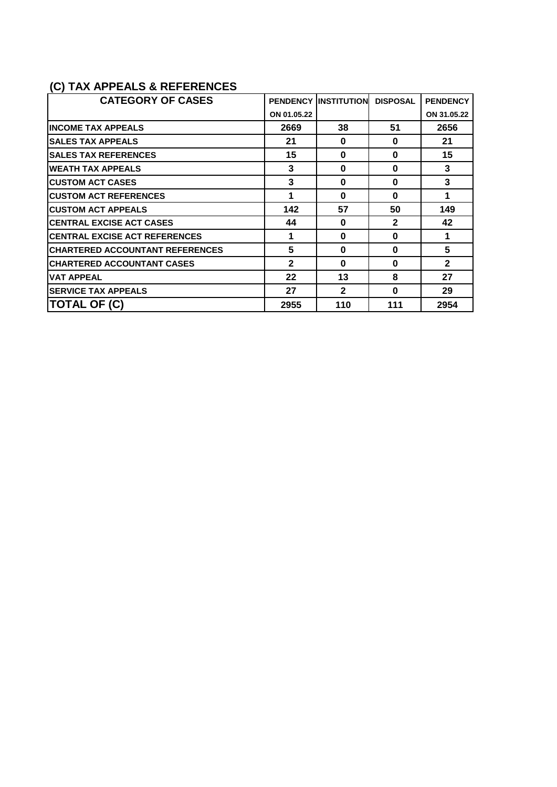## <span id="page-2-0"></span>**(C) TAX APPEALS & REFERENCES**

| <b>CATEGORY OF CASES</b>               | <b>PENDENCY</b> | <b>IINSTITUTION</b> | <b>DISPOSAL</b> | <b>PENDENCY</b> |
|----------------------------------------|-----------------|---------------------|-----------------|-----------------|
|                                        | ON 01.05.22     |                     |                 | ON 31.05.22     |
| <b>INCOME TAX APPEALS</b>              | 2669            | 38                  | 51              | 2656            |
| <b>SALES TAX APPEALS</b>               | 21              | $\bf{0}$            | 0               | 21              |
| <b>SALES TAX REFERENCES</b>            | 15              | $\bf{0}$            | 0               | 15              |
| <b>WEATH TAX APPEALS</b>               | 3               | $\bf{0}$            | 0               | 3               |
| <b>CUSTOM ACT CASES</b>                | 3               | $\bf{0}$            | 0               | 3               |
| <b>CUSTOM ACT REFERENCES</b>           | 1               | $\bf{0}$            | $\Omega$        | 1               |
| <b>CUSTOM ACT APPEALS</b>              | 142             | 57                  | 50              | 149             |
| <b>CENTRAL EXCISE ACT CASES</b>        | 44              | $\bf{0}$            | $\mathbf{2}$    | 42              |
| <b>CENTRAL EXCISE ACT REFERENCES</b>   | 1               | $\bf{0}$            | 0               | 1               |
| <b>CHARTERED ACCOUNTANT REFERENCES</b> | 5               | $\bf{0}$            | O               | 5               |
| <b>CHARTERED ACCOUNTANT CASES</b>      | $\mathbf{2}$    | $\bf{0}$            | O               | $\mathbf{2}$    |
| <b>VAT APPEAL</b>                      | 22              | 13                  | 8               | 27              |
| <b>SERVICE TAX APPEALS</b>             | 27              | $\mathbf{2}$        | 0               | 29              |
| <b>TOTAL OF (C)</b>                    | 2955            | 110                 | 111             | 2954            |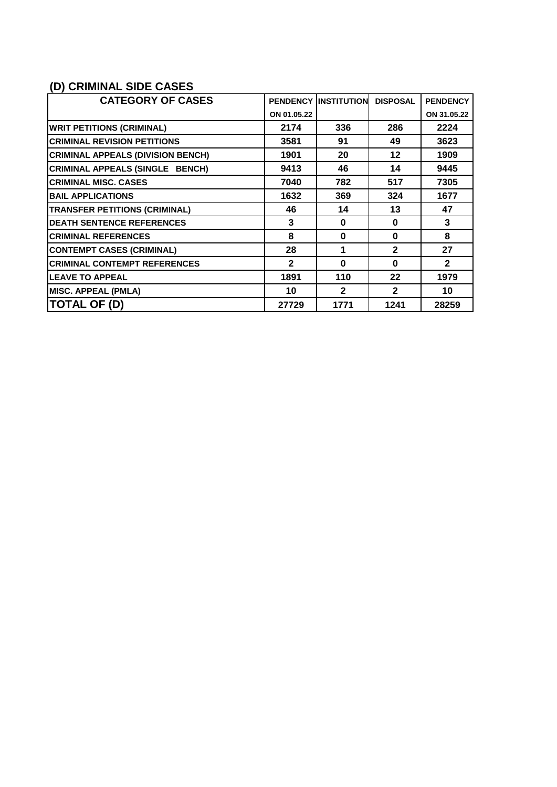### <span id="page-3-0"></span>**(D) CRIMINAL SIDE CASES**

| <b>CATEGORY OF CASES</b>                 | <b>PENDENCY</b> | <b>IINSTITUTION</b> | <b>DISPOSAL</b> | <b>PENDENCY</b> |
|------------------------------------------|-----------------|---------------------|-----------------|-----------------|
|                                          | ON 01.05.22     |                     |                 | ON 31.05.22     |
| <b>WRIT PETITIONS (CRIMINAL)</b>         | 2174            | 336                 | 286             | 2224            |
| <b>CRIMINAL REVISION PETITIONS</b>       | 3581            | 91                  | 49              | 3623            |
| <b>CRIMINAL APPEALS (DIVISION BENCH)</b> | 1901            | 20                  | 12              | 1909            |
| CRIMINAL APPEALS (SINGLE BENCH)          | 9413            | 46                  | 14              | 9445            |
| <b>CRIMINAL MISC. CASES</b>              | 7040            | 782                 | 517             | 7305            |
| <b>BAIL APPLICATIONS</b>                 | 1632            | 369                 | 324             | 1677            |
| <b>TRANSFER PETITIONS (CRIMINAL)</b>     | 46              | 14                  | 13              | 47              |
| <b>DEATH SENTENCE REFERENCES</b>         | 3               | $\bf{0}$            | O               | 3               |
| <b>CRIMINAL REFERENCES</b>               | 8               | $\bf{0}$            | $\bf{0}$        | 8               |
| <b>CONTEMPT CASES (CRIMINAL)</b>         | 28              | 1                   | $\mathbf{2}$    | 27              |
| <b>CRIMINAL CONTEMPT REFERENCES</b>      | $\mathbf{2}$    | $\bf{0}$            | O               | $\mathbf{2}$    |
| <b>LEAVE TO APPEAL</b>                   | 1891            | 110                 | 22              | 1979            |
| <b>MISC. APPEAL (PMLA)</b>               | 10              | $\mathbf{2}$        | $\overline{2}$  | 10              |
| <b>TOTAL OF (D)</b>                      | 27729           | 1771                | 1241            | 28259           |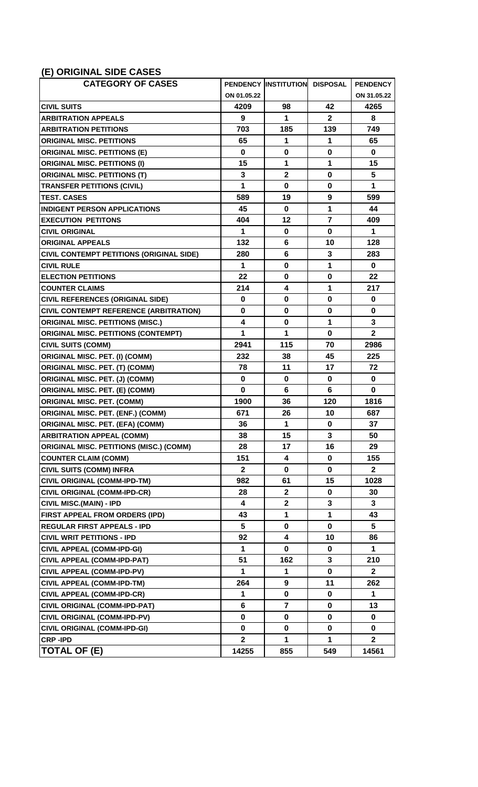#### <span id="page-4-0"></span>**(E) ORIGINAL SIDE CASES**

| $\frac{1}{2}$                                  |              |                               |                |                 |
|------------------------------------------------|--------------|-------------------------------|----------------|-----------------|
| <b>CATEGORY OF CASES</b>                       |              | PENDENCY INSTITUTION DISPOSAL |                | <b>PENDENCY</b> |
|                                                | ON 01.05.22  |                               |                | ON 31.05.22     |
| <b>CIVIL SUITS</b>                             | 4209         | 98                            | 42             | 4265            |
| <b>ARBITRATION APPEALS</b>                     | 9            | 1                             | $\mathbf{2}$   | 8               |
| <b>ARBITRATION PETITIONS</b>                   | 703          | 185                           | 139            | 749             |
| <b>ORIGINAL MISC. PETITIONS</b>                | 65           | 1                             | 1              | 65              |
| <b>ORIGINAL MISC. PETITIONS (E)</b>            | $\mathbf 0$  | $\bf{0}$                      | $\mathbf 0$    | $\bf{0}$        |
| <b>ORIGINAL MISC. PETITIONS (I)</b>            | 15           | 1                             | 1              | 15              |
| <b>ORIGINAL MISC. PETITIONS (T)</b>            | 3            | $\mathbf 2$                   | $\mathbf 0$    | 5               |
| <b>TRANSFER PETITIONS (CIVIL)</b>              | 1            | $\mathbf 0$                   | 0              | 1               |
| <b>TEST. CASES</b>                             | 589          | 19                            | 9              | 599             |
| <b>INDIGENT PERSON APPLICATIONS</b>            | 45           | $\mathbf 0$                   | $\mathbf{1}$   | 44              |
| <b>EXECUTION PETITONS</b>                      | 404          | 12                            | $\overline{7}$ | 409             |
| <b>CIVIL ORIGINAL</b>                          | 1            | $\bf{0}$                      | $\mathbf 0$    | 1               |
| <b>ORIGINAL APPEALS</b>                        | 132          | 6                             | 10             | 128             |
| CIVIL CONTEMPT PETITIONS (ORIGINAL SIDE)       | 280          | 6                             | 3              | 283             |
| <b>CIVIL RULE</b>                              | 1            | $\bf{0}$                      | 1              | $\bf{0}$        |
| <b>ELECTION PETITIONS</b>                      | 22           | $\mathbf 0$                   | $\mathbf 0$    | 22              |
| <b>COUNTER CLAIMS</b>                          | 214          | 4                             | 1              | 217             |
| <b>CIVIL REFERENCES (ORIGINAL SIDE)</b>        | $\bf{0}$     | $\mathbf 0$                   | $\mathbf 0$    | $\bf{0}$        |
| <b>CIVIL CONTEMPT REFERENCE (ARBITRATION)</b>  | $\bf{0}$     | $\mathbf 0$                   | $\mathbf 0$    | $\bf{0}$        |
| <b>ORIGINAL MISC. PETITIONS (MISC.)</b>        | 4            | $\bf{0}$                      | 1              | 3               |
| <b>ORIGINAL MISC. PETITIONS (CONTEMPT)</b>     | 1            | 1                             | $\bf{0}$       | $\mathbf{2}$    |
| <b>CIVIL SUITS (COMM)</b>                      | 2941         | 115                           | 70             | 2986            |
| <b>ORIGINAL MISC. PET. (I) (COMM)</b>          | 232          | 38                            | 45             | 225             |
| <b>ORIGINAL MISC. PET. (T) (COMM)</b>          | 78           | 11                            | 17             | 72              |
| <b>ORIGINAL MISC. PET. (J) (COMM)</b>          | $\bf{0}$     | $\bf{0}$                      | $\bf{0}$       | 0               |
| <b>ORIGINAL MISC. PET. (E) (COMM)</b>          | $\bf{0}$     | 6                             | 6              | $\bf{0}$        |
| <b>ORIGINAL MISC. PET. (COMM)</b>              | 1900         | 36                            | 120            | 1816            |
| <b>ORIGINAL MISC. PET. (ENF.) (COMM)</b>       | 671          | 26                            | 10             | 687             |
| <b>ORIGINAL MISC. PET. (EFA) (COMM)</b>        | 36           | 1                             | $\pmb{0}$      | 37              |
| <b>ARBITRATION APPEAL (COMM)</b>               | 38           | 15                            | 3              | 50              |
| <b>ORIGINAL MISC. PETITIONS (MISC.) (COMM)</b> | 28           | 17                            | 16             | 29              |
| <b>COUNTER CLAIM (COMM)</b>                    | 151          | 4                             | $\bf{0}$       | 155             |
| <b>CIVIL SUITS (COMM) INFRA</b>                | $\mathbf{2}$ | 0                             | 0              | $\mathbf{2}$    |
| <b>CIVIL ORIGINAL (COMM-IPD-TM)</b>            | 982          | 61                            | 15             | 1028            |
| <b>CIVIL ORIGINAL (COMM-IPD-CR)</b>            | 28           | $\mathbf 2$                   | 0              | 30              |
| <b>CIVIL MISC.(MAIN) - IPD</b>                 | 4            | $\overline{\mathbf{2}}$       | 3              | 3               |
| FIRST APPEAL FROM ORDERS (IPD)                 | 43           | 1                             | 1              | 43              |
| <b>REGULAR FIRST APPEALS - IPD</b>             | 5            | 0                             | 0              | 5               |
| <b>CIVIL WRIT PETITIONS - IPD</b>              | 92           | 4                             | 10             | 86              |
| <b>CIVIL APPEAL (COMM-IPD-GI)</b>              | 1            | $\bf{0}$                      | 0              | 1               |
| <b>CIVIL APPEAL (COMM-IPD-PAT)</b>             | 51           | 162                           | 3              | 210             |
| <b>CIVIL APPEAL (COMM-IPD-PV)</b>              | 1            | 1                             | $\mathbf 0$    | $\mathbf{2}$    |
| CIVIL APPEAL (COMM-IPD-TM)                     | 264          | $\boldsymbol{9}$              | 11             | 262             |
| <b>CIVIL APPEAL (COMM-IPD-CR)</b>              | 1            | $\bf{0}$                      | 0              | 1               |
| <b>CIVIL ORIGINAL (COMM-IPD-PAT)</b>           | 6            | $\overline{7}$                | 0              | 13              |
| <b>CIVIL ORIGINAL (COMM-IPD-PV)</b>            | 0            | 0                             | 0              | 0               |
| <b>CIVIL ORIGINAL (COMM-IPD-GI)</b>            | 0            | 0                             | 0              | 0               |
| <b>CRP-IPD</b>                                 | $\mathbf 2$  | 1                             | 1              | $\overline{2}$  |
| <b>TOTAL OF (E)</b>                            | 14255        | 855                           | 549            | 14561           |
|                                                |              |                               |                |                 |